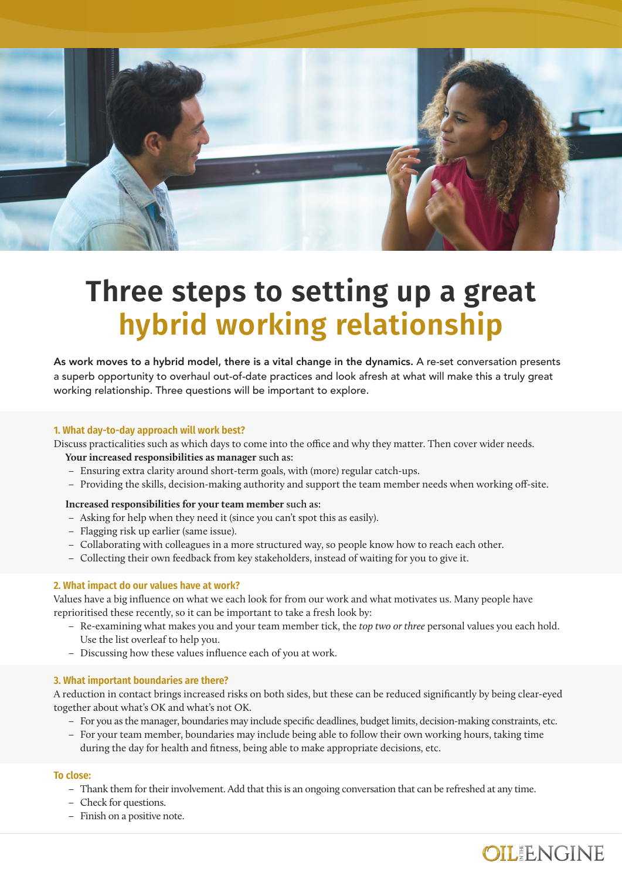

# **Three steps to setting up a great hybrid working relationship**

As work moves to a hybrid model, there is a vital change in the dynamics. A re-set conversation presents a superb opportunity to overhaul out-of-date practices and look afresh at what will make this a truly great working relationship. Three questions will be important to explore.

#### **1. What day-to-day approach will work best?**

Discuss practicalities such as which days to come into the office and why they matter. Then cover wider needs.

#### **Your increased responsibilities as manager such as:**

- − Ensuring extra clarity around short-term goals, with (more) regular catch-ups.
- − Providing the skills, decision-making authority and support the team member needs when working off-site.

#### **Increased responsibilities for your team member such as:**

- − Asking for help when they need it (since you can't spot this as easily).
- − Flagging risk up earlier (same issue).
- − Collaborating with colleagues in a more structured way, so people know how to reach each other.
- − Collecting their own feedback from key stakeholders, instead of waiting for you to give it.

#### **2. What impact do our values have at work?**

Values have a big influence on what we each look for from our work and what motivates us. Many people have reprioritised these recently, so it can be important to take a fresh look by:

- − Re-examining what makes you and your team member tick, the *top two or three* personal values you each hold. Use the list overleaf to help you.
- − Discussing how these values influence each of you at work.

#### **3. What important boundaries are there?**

A reduction in contact brings increased risks on both sides, but these can be reduced significantly by being clear-eyed together about what's OK and what's not OK.

- − For you as the manager, boundaries may include specific deadlines, budget limits, decision-making constraints, etc.
- − For your team member, boundaries may include being able to follow their own working hours, taking time during the day for health and fitness, being able to make appropriate decisions, etc.

#### **To close:**

- − Thank them for their involvement. Add that this is an ongoing conversation that can be refreshed at any time.
- − Check for questions.
- − Finish on a positive note.